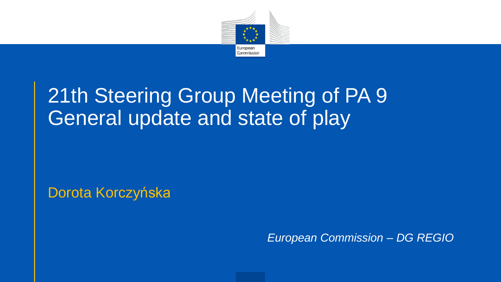

### 21th Steering Group Meeting of PA 9 General update and state of play

Dorota Korczyńska

*European Commission – DG REGIO*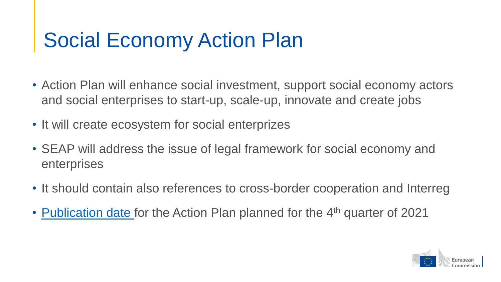### Social Economy Action Plan

- Action Plan will enhance social investment, support social economy actors and social enterprises to start-up, scale-up, innovate and create jobs
- It will create ecosystem for social enterprizes
- SEAP will address the issue of legal framework for social economy and enterprises
- It should contain also references to cross-border cooperation and Interreg
- [Publication date](https://ec.europa.eu/info/law/better-regulation/have-your-say/initiatives/12743-EU-action-plan-for-social-economy_en) for the Action Plan planned for the 4<sup>th</sup> quarter of 2021

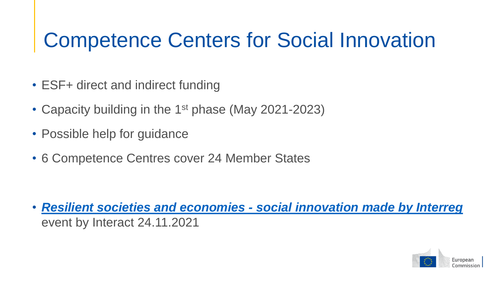### Competence Centers for Social Innovation

- ESF+ direct and indirect funding
- Capacity building in the 1<sup>st</sup> phase (May 2021-2023)
- Possible help for guidance
- 6 Competence Centres cover 24 Member States

• *[Resilient societies and economies -](https://www.interact-eu.net/events/resilient-societies-and-economies-social-innovation-made-interreg) social innovation made by Interreg*  event by Interact 24.11.2021

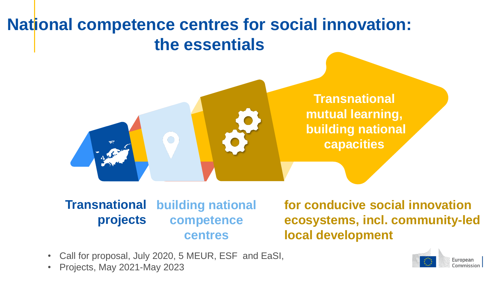### **National competence centres for social innovation: the essentials**



**Transnational mutual learning, building national capacities** 

**Transnational projects building national competence centres**

**for conducive social innovation ecosystems, incl. community-led local development**

- Call for proposal, July 2020, 5 MEUR, ESF and EaSI,
- Projects, May 2021-May 2023

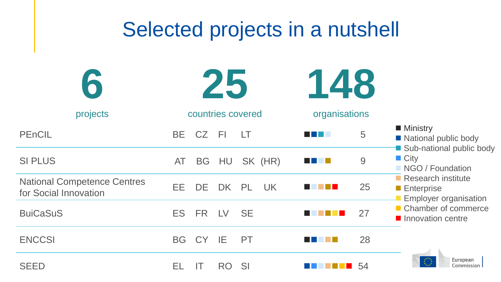| Selected projects in a nutshell                             |                                            |                                          |                                                                                                                                                                                                                                      |
|-------------------------------------------------------------|--------------------------------------------|------------------------------------------|--------------------------------------------------------------------------------------------------------------------------------------------------------------------------------------------------------------------------------------|
|                                                             | 25                                         | 148                                      |                                                                                                                                                                                                                                      |
| projects                                                    | countries covered                          | organisations                            |                                                                                                                                                                                                                                      |
| PEnCIL                                                      | <b>CZ</b><br><b>FI</b><br>BE.<br>LT        | 5<br>a kacamatan ing Kabupatèn Kabupatèn | ■ Ministry<br>■ National public body<br>Sub-national public body<br>$\blacksquare$ City<br>NGO / Foundation<br>Research institute<br><b>Enterprise</b><br><b>Employer organisation</b><br>■ Chamber of commerce<br>Innovation centre |
| <b>SI PLUS</b>                                              | SK (HR)<br>HU<br>AT<br><b>BG</b>           | 9                                        |                                                                                                                                                                                                                                      |
| <b>National Competence Centres</b><br>for Social Innovation | EE.<br><b>DE</b><br>DK<br><b>PL</b><br>UK. | 25                                       |                                                                                                                                                                                                                                      |
| <b>BuiCaSuS</b>                                             | <b>FR</b><br><b>SE</b><br><b>ES</b><br>LV  | 27                                       |                                                                                                                                                                                                                                      |
| <b>ENCCSI</b>                                               | IE.<br><b>BG</b><br>CY<br><b>PT</b>        | 28                                       |                                                                                                                                                                                                                                      |
| <b>SEED</b>                                                 | SI<br>EL<br>RO<br>IT                       | 54                                       | European<br>Commission                                                                                                                                                                                                               |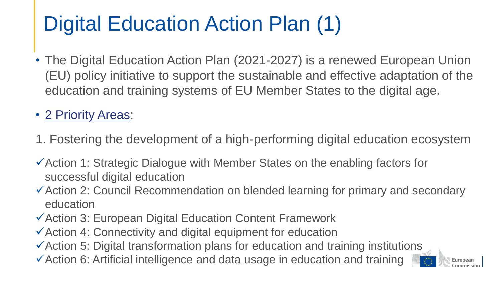## Digital Education Action Plan (1)

• The Digital Education Action Plan (2021-2027) is a renewed European Union (EU) policy initiative to support the sustainable and effective adaptation of the education and training systems of EU Member States to the digital age.

#### • [2 Priority Areas](https://ec.europa.eu/education/education-in-the-eu/digital-education-action-plan_en):

- 1. Fostering the development of a high-performing digital education ecosystem
- Action 1: Strategic Dialogue with Member States on the enabling factors for successful digital education
- Action 2: Council Recommendation on blended learning for primary and secondary education
- Action 3: European Digital Education Content Framework
- Action 4: Connectivity and digital equipment for education
- Action 5: Digital transformation plans for education and training institutions
- Action 6: Artificial intelligence and data usage in education and training

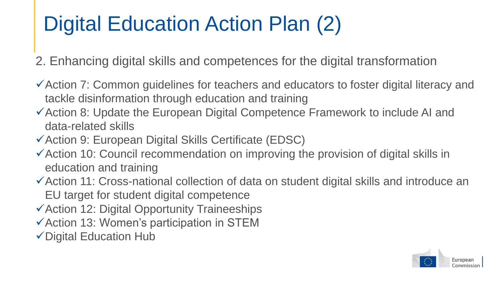### Digital Education Action Plan (2)

- 2. Enhancing digital skills and competences for the digital transformation
- Action 7: Common guidelines for teachers and educators to foster digital literacy and tackle disinformation through education and training
- Action 8: Update the European Digital Competence Framework to include AI and data-related skills
- Action 9: European Digital Skills Certificate (EDSC)
- $\checkmark$  Action 10: Council recommendation on improving the provision of digital skills in education and training
- Action 11: Cross-national collection of data on student digital skills and introduce an EU target for student digital competence
- Action 12: Digital Opportunity Traineeships
- $\checkmark$  Action 13: Women's participation in STEM
- Digital Education Hub

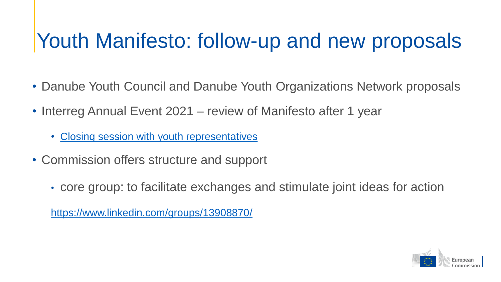### Youth Manifesto: follow-up and new proposals

- Danube Youth Council and Danube Youth Organizations Network proposals
- Interreg Annual Event 2021 review of Manifesto after 1 year
	- [Closing session with youth representatives](https://interreg-annual-event.tw.events/en/recording)
- Commission offers structure and support
	- core group: to facilitate exchanges and stimulate joint ideas for action

<https://www.linkedin.com/groups/13908870/>

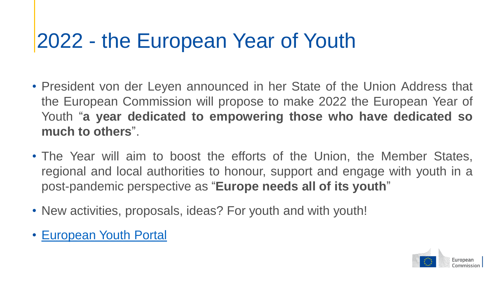### 2022 - the European Year of Youth

- President von der Leyen announced in her State of the Union Address that the European Commission will propose to make 2022 the European Year of Youth "**a year dedicated to empowering those who have dedicated so much to others**".
- The Year will aim to boost the efforts of the Union, the Member States, regional and local authorities to honour, support and engage with youth in a post-pandemic perspective as "**Europe needs all of its youth**"
- New activities, proposals, ideas? For youth and with youth!
- [European](https://europa.eu/youth/home_en) Youth Portal